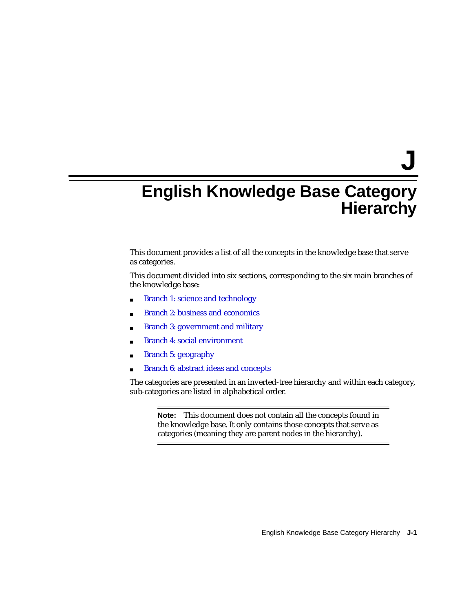**J**

# **English Knowledge Base Category Hierarchy**

This document provides a list of all the concepts in the knowledge base that serve as categories.

This document divided into six sections, corresponding to the six main branches of the knowledge base:

- [Branch 1: science and technology](#page-1-0)
- [Branch 2: business and economics](#page-13-0)
- [Branch 3: government and military](#page-15-0)
- [Branch 4: social environment](#page-17-0)
- [Branch 5: geography](#page-24-0)
- [Branch 6: abstract ideas and concepts](#page-30-0)

The categories are presented in an inverted-tree hierarchy and within each category, sub-categories are listed in alphabetical order.

**Note:** This document does not contain all the concepts found in the knowledge base. It only contains those concepts that serve as categories (meaning they are parent nodes in the hierarchy).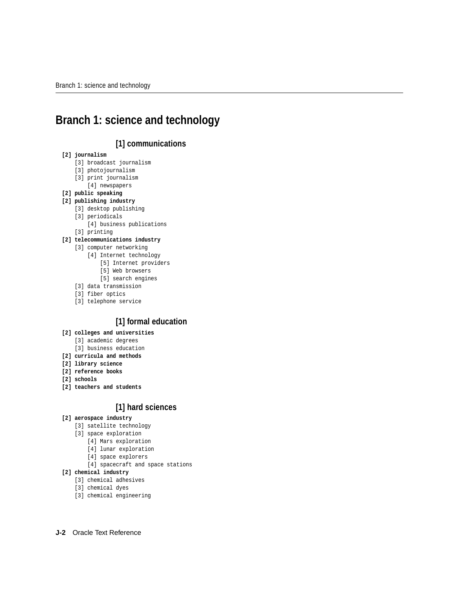# <span id="page-1-0"></span>**Branch 1: science and technology**

# **[1] communications**

## **[2] journalism**

- [3] broadcast journalism
- [3] photojournalism
- [3] print journalism
	- [4] newspapers
- **[2] public speaking**
- **[2] publishing industry**
	- [3] desktop publishing
	- [3] periodicals
		- [4] business publications
	- [3] printing

## **[2] telecommunications industry**

- [3] computer networking
	- [4] Internet technology
		- [5] Internet providers
		- [5] Web browsers
		- [5] search engines
- [3] data transmission
- [3] fiber optics
- [3] telephone service

# **[1] formal education**

## **[2] colleges and universities**

- [3] academic degrees
- [3] business education
- **[2] curricula and methods**
- **[2] library science**
- **[2] reference books**
- **[2] schools**
- **[2] teachers and students**

# **[1] hard sciences**

## **[2] aerospace industry**

- [3] satellite technology
- [3] space exploration
	- [4] Mars exploration
	- [4] lunar exploration
	- [4] space explorers
	- [4] spacecraft and space stations
- **[2] chemical industry**
	- [3] chemical adhesives
	- [3] chemical dyes
	- [3] chemical engineering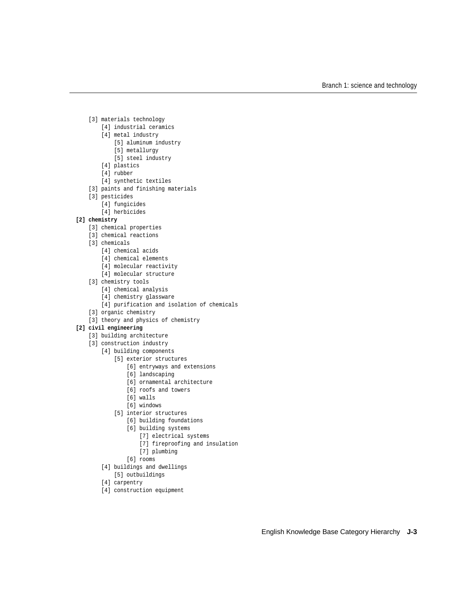- [3] materials technology
	- [4] industrial ceramics
	- [4] metal industry
		- [5] aluminum industry
		- [5] metallurgy
		- [5] steel industry
	- [4] plastics
	- [4] rubber
	- [4] synthetic textiles
- [3] paints and finishing materials
- [3] pesticides
	- [4] fungicides
	- [4] herbicides

#### **[2] chemistry**

- [3] chemical properties
- [3] chemical reactions
- [3] chemicals
	- [4] chemical acids
	- [4] chemical elements
	- [4] molecular reactivity
	- [4] molecular structure
- [3] chemistry tools
	- [4] chemical analysis
	- [4] chemistry glassware
	- [4] purification and isolation of chemicals
- [3] organic chemistry
- [3] theory and physics of chemistry

## **[2] civil engineering**

- [3] building architecture
- [3] construction industry
	- [4] building components
		- [5] exterior structures
			- [6] entryways and extensions
			- [6] landscaping
			- [6] ornamental architecture
			- [6] roofs and towers
			- [6] walls
			- [6] windows
		- [5] interior structures
			- [6] building foundations
			- [6] building systems
				- [7] electrical systems
				- [7] fireproofing and insulation
				- [7] plumbing
			- [6] rooms
	- [4] buildings and dwellings
		- [5] outbuildings
	- [4] carpentry
	- [4] construction equipment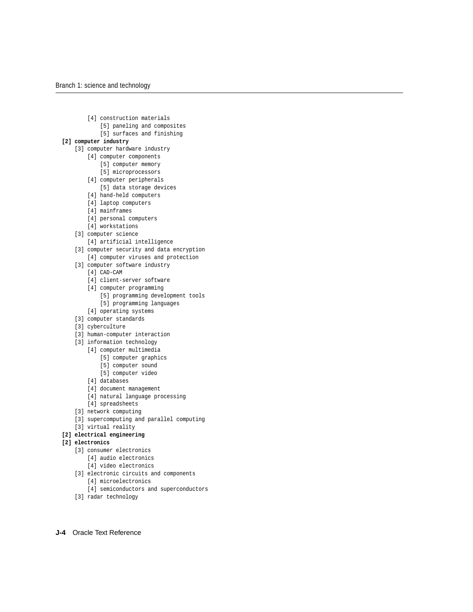- [4] construction materials
	- [5] paneling and composites
	- [5] surfaces and finishing

#### **[2] computer industry**

- [3] computer hardware industry
	- [4] computer components
		- [5] computer memory
		- [5] microprocessors
	- [4] computer peripherals
	- [5] data storage devices
	- [4] hand-held computers
	- [4] laptop computers
	- [4] mainframes
	- [4] personal computers
	- [4] workstations
- [3] computer science
	- [4] artificial intelligence
- [3] computer security and data encryption [4] computer viruses and protection
- [3] computer software industry
	- [4] CAD-CAM
	- [4] client-server software
	- [4] computer programming
		- [5] programming development tools
		- [5] programming languages
	- [4] operating systems
- [3] computer standards
- [3] cyberculture
- [3] human-computer interaction
- [3] information technology
	- [4] computer multimedia
		- [5] computer graphics
		- [5] computer sound
		- [5] computer video
	- [4] databases
	- [4] document management
	- [4] natural language processing
	- [4] spreadsheets
- [3] network computing
- [3] supercomputing and parallel computing
- [3] virtual reality

#### **[2] electrical engineering**

#### **[2] electronics**

- [3] consumer electronics
	- [4] audio electronics
	- [4] video electronics
- [3] electronic circuits and components
	- [4] microelectronics
	- [4] semiconductors and superconductors
- [3] radar technology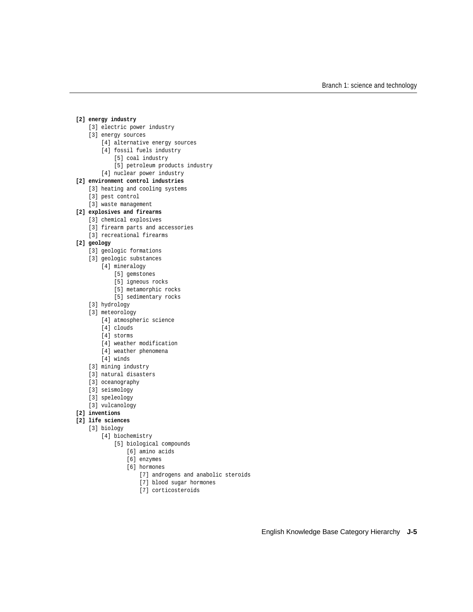#### **[2] energy industry**

- [3] electric power industry
- [3] energy sources
	- [4] alternative energy sources
	- [4] fossil fuels industry
		- [5] coal industry
		- [5] petroleum products industry
	- [4] nuclear power industry

## **[2] environment control industries**

- [3] heating and cooling systems
- [3] pest control
- [3] waste management

## **[2] explosives and firearms**

- [3] chemical explosives
- [3] firearm parts and accessories
- [3] recreational firearms

## **[2] geology**

- [3] geologic formations
- [3] geologic substances
	- [4] mineralogy
		- [5] gemstones
		- [5] igneous rocks
		- [5] metamorphic rocks
		- [5] sedimentary rocks
- [3] hydrology
- [3] meteorology
	- [4] atmospheric science
	- [4] clouds
	- [4] storms
	- [4] weather modification
	- [4] weather phenomena
	- [4] winds
- [3] mining industry
- [3] natural disasters
- [3] oceanography
- [3] seismology
- [3] speleology
- [3] vulcanology

## **[2] inventions**

- **[2] life sciences**
	- [3] biology
		- [4] biochemistry
			- [5] biological compounds
				- [6] amino acids
				- [6] enzymes
				- [6] hormones
					- [7] androgens and anabolic steroids
					- [7] blood sugar hormones
					- [7] corticosteroids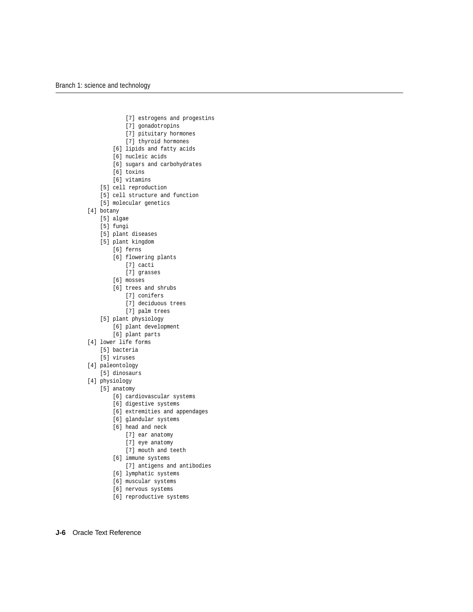- [7] estrogens and progestins
- [7] gonadotropins
- [7] pituitary hormones
- [7] thyroid hormones
- [6] lipids and fatty acids
- [6] nucleic acids
- [6] sugars and carbohydrates
- [6] toxins
- [6] vitamins
- [5] cell reproduction
- [5] cell structure and function
- [5] molecular genetics
- [4] botany
	- [5] algae
	- [5] fungi
	- [5] plant diseases
	- [5] plant kingdom
		- [6] ferns
		- [6] flowering plants
			- [7] cacti
			- [7] grasses
		- [6] mosses
		- [6] trees and shrubs
			- [7] conifers
			- [7] deciduous trees
			- [7] palm trees
	- [5] plant physiology
		- [6] plant development
		- [6] plant parts
- [4] lower life forms
	- [5] bacteria
	- [5] viruses
- [4] paleontology
	- [5] dinosaurs
- [4] physiology
	- [5] anatomy
		- [6] cardiovascular systems
		- [6] digestive systems
		- [6] extremities and appendages
		- [6] glandular systems
		- [6] head and neck
			- [7] ear anatomy
			- [7] eye anatomy
			- [7] mouth and teeth
		- [6] immune systems
			- [7] antigens and antibodies
		- [6] lymphatic systems
		- [6] muscular systems
		- [6] nervous systems
		- [6] reproductive systems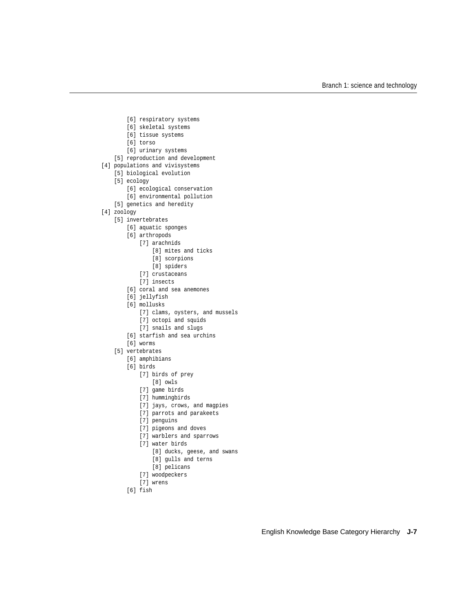- [6] respiratory systems
- [6] skeletal systems
- [6] tissue systems
- [6] torso
- [6] urinary systems
- [5] reproduction and development
- [4] populations and vivisystems
	- [5] biological evolution
	- [5] ecology
		- [6] ecological conservation
		- [6] environmental pollution
	- [5] genetics and heredity
- [4] zoology
	- [5] invertebrates
		- [6] aquatic sponges
		- [6] arthropods
			- [7] arachnids
				- [8] mites and ticks
				- [8] scorpions
				- [8] spiders
				- [7] crustaceans
				- [7] insects
		- [6] coral and sea anemones
		- [6] jellyfish
		- [6] mollusks
			- [7] clams, oysters, and mussels
			- [7] octopi and squids
			- [7] snails and slugs
		- [6] starfish and sea urchins
		- [6] worms
	- [5] vertebrates
		- [6] amphibians
		- [6] birds
			- [7] birds of prey
				- [8] owls
			- [7] game birds
			- [7] hummingbirds
			- [7] jays, crows, and magpies
			- [7] parrots and parakeets
			- [7] penguins
			- [7] pigeons and doves
			- [7] warblers and sparrows
			- [7] water birds
				- [8] ducks, geese, and swans
				- [8] gulls and terns
				- [8] pelicans
			- [7] woodpeckers
			- [7] wrens
		- [6] fish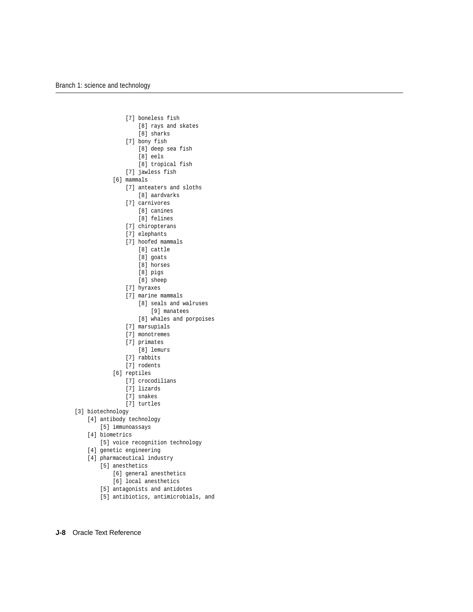- [7] boneless fish
	- [8] rays and skates
	- [8] sharks
- [7] bony fish
	- [8] deep sea fish
	- [8] eels
	- [8] tropical fish
- [7] jawless fish
- [6] mammals
	- [7] anteaters and sloths
		- [8] aardvarks
	- [7] carnivores
		- [8] canines
		- [8] felines
	- [7] chiropterans
	- [7] elephants
	- [7] hoofed mammals
		- [8] cattle
		- [8] goats
		- [8] horses
		- [8] pigs
		- [8] sheep
	- [7] hyraxes
	- [7] marine mammals
		- [8] seals and walruses
			- [9] manatees
		- [8] whales and porpoises
	- [7] marsupials
	- [7] monotremes
	- [7] primates
		- [8] lemurs
	- [7] rabbits
	- [7] rodents
- [6] reptiles
	- [7] crocodilians
	- [7] lizards
	- [7] snakes
	- [7] turtles
- [3] biotechnology
	- [4] antibody technology
		- [5] immunoassays
	- [4] biometrics
		- [5] voice recognition technology
	- [4] genetic engineering
	- [4] pharmaceutical industry
		- [5] anesthetics
			- [6] general anesthetics
			- [6] local anesthetics
		- [5] antagonists and antidotes
		- [5] antibiotics, antimicrobials, and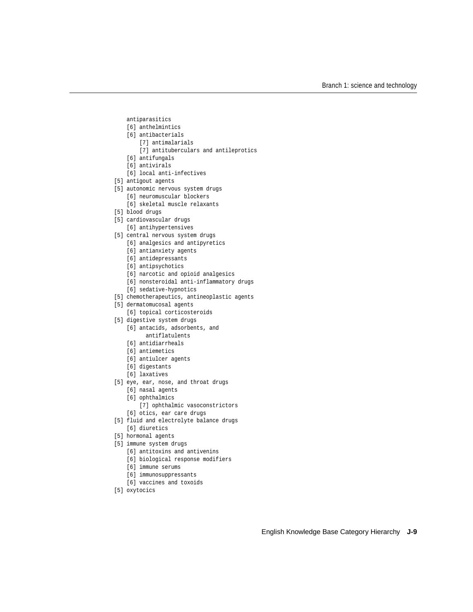- antiparasitics
- [6] anthelmintics
- [6] antibacterials
	- [7] antimalarials
	- [7] antituberculars and antileprotics
- [6] antifungals
- [6] antivirals
- [6] local anti-infectives
- [5] antigout agents
- [5] autonomic nervous system drugs
	- [6] neuromuscular blockers
	- [6] skeletal muscle relaxants
- [5] blood drugs
- [5] cardiovascular drugs
	- [6] antihypertensives
- [5] central nervous system drugs
	- [6] analgesics and antipyretics
	- [6] antianxiety agents
	- [6] antidepressants
	- [6] antipsychotics
	- [6] narcotic and opioid analgesics
	- [6] nonsteroidal anti-inflammatory drugs
	- [6] sedative-hypnotics
- [5] chemotherapeutics, antineoplastic agents
- [5] dermatomucosal agents
	- [6] topical corticosteroids
- [5] digestive system drugs
	- [6] antacids, adsorbents, and
		- antiflatulents
	- [6] antidiarrheals
	- [6] antiemetics
	- [6] antiulcer agents
	- [6] digestants
	- [6] laxatives
- [5] eye, ear, nose, and throat drugs
	- [6] nasal agents
	- [6] ophthalmics
		- [7] ophthalmic vasoconstrictors
	- [6] otics, ear care drugs
- [5] fluid and electrolyte balance drugs [6] diuretics
- [5] hormonal agents
- 
- [5] immune system drugs
	- [6] antitoxins and antivenins
	- [6] biological response modifiers
	- [6] immune serums
	- [6] immunosuppressants
	- [6] vaccines and toxoids
- [5] oxytocics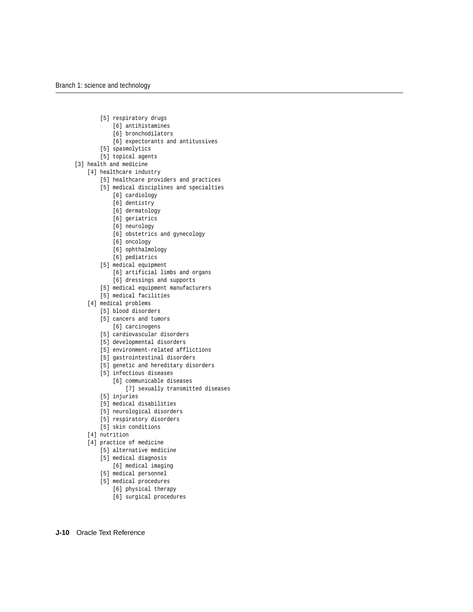- [5] respiratory drugs
	- [6] antihistamines
	- [6] bronchodilators
	- [6] expectorants and antitussives
- [5] spasmolytics
- [5] topical agents
- [3] health and medicine
	- [4] healthcare industry
		- [5] healthcare providers and practices
		- [5] medical disciplines and specialties
			- [6] cardiology
			- [6] dentistry
			- [6] dermatology
			- [6] geriatrics
			- [6] neurology
			- [6] obstetrics and gynecology
			- [6] oncology
			- [6] ophthalmology
			- [6] pediatrics
		- [5] medical equipment
			- [6] artificial limbs and organs
			- [6] dressings and supports
		- [5] medical equipment manufacturers
		- [5] medical facilities
	- [4] medical problems
		- [5] blood disorders
		- [5] cancers and tumors [6] carcinogens
		- [5] cardiovascular disorders
		- [5] developmental disorders
		- [5] environment-related afflictions
		- [5] gastrointestinal disorders
		- [5] genetic and hereditary disorders
		- [5] infectious diseases
			- [6] communicable diseases
				- [7] sexually transmitted diseases
		- [5] injuries
		- [5] medical disabilities
		- [5] neurological disorders
		- [5] respiratory disorders
		- [5] skin conditions
	- [4] nutrition
	- [4] practice of medicine
		- [5] alternative medicine
		- [5] medical diagnosis
			- [6] medical imaging
		- [5] medical personnel
		- [5] medical procedures
			- [6] physical therapy
			- [6] surgical procedures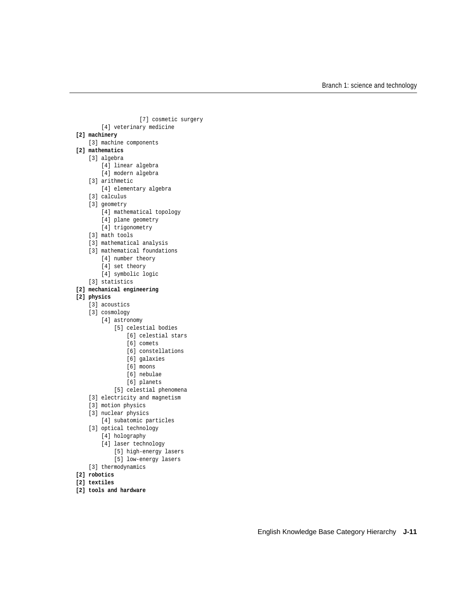```
 [7] cosmetic surgery
         [4] veterinary medicine
[2] machinery
    [3] machine components
[2] mathematics
     [3] algebra
        [4] linear algebra
        [4] modern algebra
     [3] arithmetic
        [4] elementary algebra
     [3] calculus
    [3] geometry
        [4] mathematical topology
        [4] plane geometry
         [4] trigonometry
    [3] math tools
    [3] mathematical analysis
    [3] mathematical foundations
        [4] number theory
         [4] set theory
         [4] symbolic logic
     [3] statistics
[2] mechanical engineering
[2] physics
    [3] acoustics
     [3] cosmology
         [4] astronomy
             [5] celestial bodies
                 [6] celestial stars
                 [6] comets
                 [6] constellations
                 [6] galaxies
                 [6] moons
                [6] nebulae
                 [6] planets
             [5] celestial phenomena
    [3] electricity and magnetism
     [3] motion physics
     [3] nuclear physics
         [4] subatomic particles
    [3] optical technology
         [4] holography
         [4] laser technology
             [5] high-energy lasers
             [5] low-energy lasers
```
- [3] thermodynamics
- **[2] robotics**
- **[2] textiles**
- **[2] tools and hardware**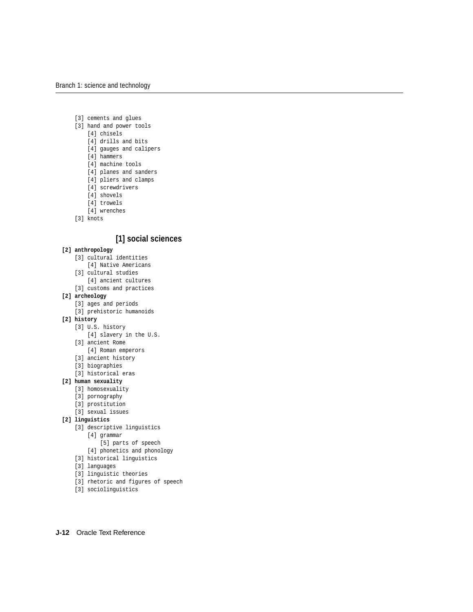- [3] cements and glues
- [3] hand and power tools
	- [4] chisels
	- [4] drills and bits
	- [4] gauges and calipers
	- [4] hammers
	- [4] machine tools
	- [4] planes and sanders
	- [4] pliers and clamps
	- [4] screwdrivers
	- [4] shovels
	- [4] trowels
	- [4] wrenches
- [3] knots

# **[1] social sciences**

#### **[2] anthropology**

- [3] cultural identities
	- [4] Native Americans
- [3] cultural studies
	- [4] ancient cultures
- [3] customs and practices

## **[2] archeology**

- [3] ages and periods
- [3] prehistoric humanoids

## **[2] history**

- [3] U.S. history
	- [4] slavery in the U.S.
- [3] ancient Rome
	- [4] Roman emperors
- [3] ancient history
- [3] biographies
- [3] historical eras

## **[2] human sexuality**

- [3] homosexuality
- [3] pornography
- [3] prostitution
- [3] sexual issues

## **[2] linguistics**

- [3] descriptive linguistics
	- [4] grammar
		- [5] parts of speech
	- [4] phonetics and phonology
- [3] historical linguistics
- [3] languages
- [3] linguistic theories
- [3] rhetoric and figures of speech
- [3] sociolinguistics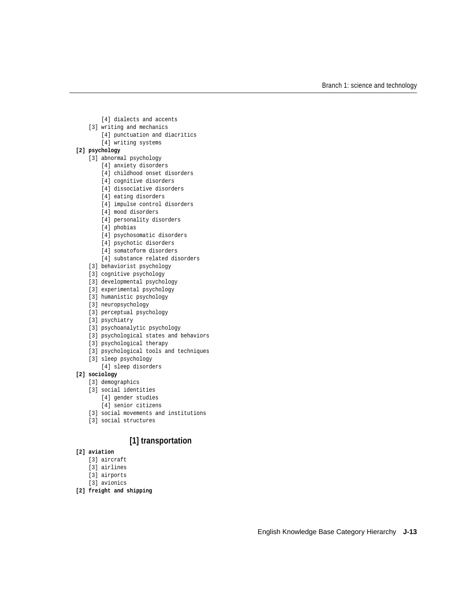- [4] dialects and accents
- [3] writing and mechanics
	- [4] punctuation and diacritics
	- [4] writing systems

## **[2] psychology**

- [3] abnormal psychology
	- [4] anxiety disorders
	- [4] childhood onset disorders
	- [4] cognitive disorders
	- [4] dissociative disorders
	- [4] eating disorders
	- [4] impulse control disorders
	- [4] mood disorders
	- [4] personality disorders
	- [4] phobias
	- [4] psychosomatic disorders
	- [4] psychotic disorders
	- [4] somatoform disorders
	- [4] substance related disorders
- [3] behaviorist psychology
- [3] cognitive psychology
- [3] developmental psychology
- [3] experimental psychology
- [3] humanistic psychology
- [3] neuropsychology
- [3] perceptual psychology
- [3] psychiatry
- [3] psychoanalytic psychology
- [3] psychological states and behaviors
- [3] psychological therapy
- [3] psychological tools and techniques
- [3] sleep psychology
- [4] sleep disorders

## **[2] sociology**

- [3] demographics
- [3] social identities
	- [4] gender studies
	- [4] senior citizens
- [3] social movements and institutions
- [3] social structures

# **[1] transportation**

- **[2] aviation**
	- [3] aircraft
	- [3] airlines
	- [3] airports
	- [3] avionics
- **[2] freight and shipping**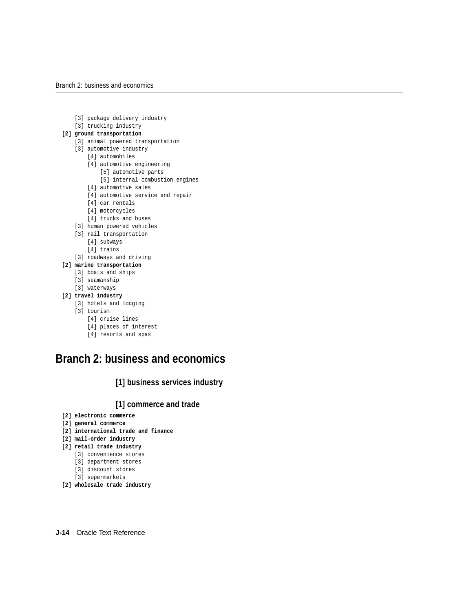- [3] package delivery industry
- [3] trucking industry

## **[2] ground transportation**

- [3] animal powered transportation
- [3] automotive industry
	- [4] automobiles
	- [4] automotive engineering
		- [5] automotive parts
		- [5] internal combustion engines
	- [4] automotive sales
	- [4] automotive service and repair
	- [4] car rentals
	- [4] motorcycles
	- [4] trucks and buses
- [3] human powered vehicles
- [3] rail transportation
	- [4] subways
	- [4] trains
- [3] roadways and driving
- **[2] marine transportation**
	- [3] boats and ships
	- [3] seamanship
	- [3] waterways
- **[2] travel industry**
	- [3] hotels and lodging
	- [3] tourism
		- [4] cruise lines
		- [4] places of interest
		- [4] resorts and spas

# <span id="page-13-0"></span>**Branch 2: business and economics**

**[1] business services industry**

# **[1] commerce and trade**

- **[2] electronic commerce**
- **[2] general commerce**
- **[2] international trade and finance**
- **[2] mail-order industry**
- **[2] retail trade industry**
	- [3] convenience stores
	- [3] department stores
	- [3] discount stores
	- [3] supermarkets
- **[2] wholesale trade industry**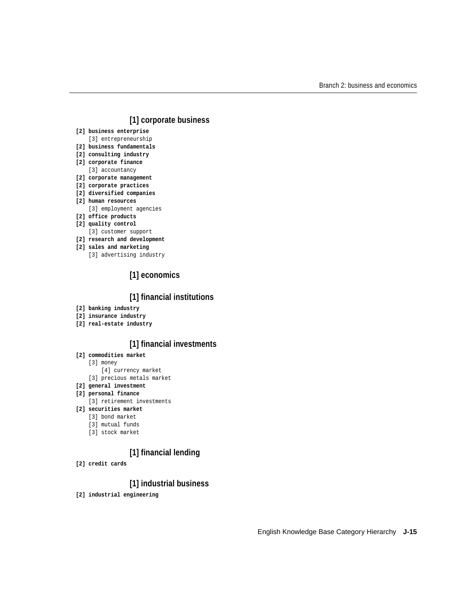# **[1] corporate business**

**[2] business enterprise**

[3] entrepreneurship

- **[2] business fundamentals**
- **[2] consulting industry**
- **[2] corporate finance** [3] accountancy
- **[2] corporate management**
- **[2] corporate practices**
- **[2] diversified companies**
- **[2] human resources**

[3] employment agencies

- **[2] office products**
- **[2] quality control** [3] customer support
- **[2] research and development**
- **[2] sales and marketing**
	- [3] advertising industry

# **[1] economics**

# **[1] financial institutions**

- **[2] banking industry**
- **[2] insurance industry**
- **[2] real-estate industry**

# **[1] financial investments**

## **[2] commodities market**

- [3] money
	- [4] currency market
- [3] precious metals market

## **[2] general investment**

- **[2] personal finance**
	- [3] retirement investments
- **[2] securities market**
	- [3] bond market
	- [3] mutual funds
	- [3] stock market

# **[1] financial lending**

**[2] credit cards**

# **[1] industrial business**

**[2] industrial engineering**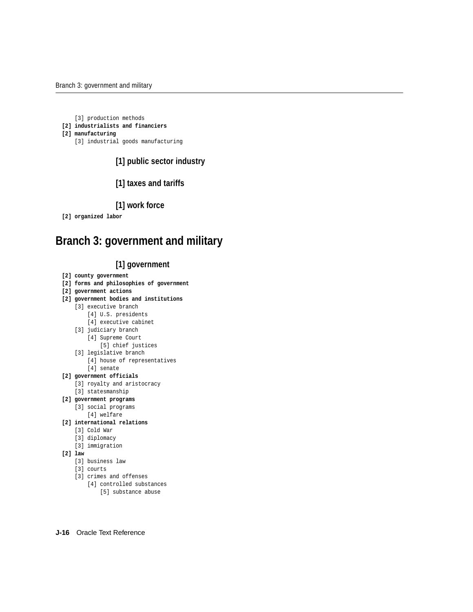[3] production methods

#### **[2] industrialists and financiers**

#### **[2] manufacturing**

[3] industrial goods manufacturing

# **[1] public sector industry**

# **[1] taxes and tariffs**

# **[1] work force**

**[2] organized labor**

# <span id="page-15-0"></span>**Branch 3: government and military**

# **[1] government**

- **[2] county government**
- **[2] forms and philosophies of government**
- **[2] government actions**
- **[2] government bodies and institutions**
	- [3] executive branch
		- [4] U.S. presidents
		- [4] executive cabinet
	- [3] judiciary branch
		- [4] Supreme Court
			- [5] chief justices
	- [3] legislative branch
		- [4] house of representatives
	- [4] senate

## **[2] government officials**

- [3] royalty and aristocracy
- [3] statesmanship
- **[2] government programs**
	- [3] social programs
		- [4] welfare
- **[2] international relations**
	- [3] Cold War
	- [3] diplomacy
	- [3] immigration
- **[2] law**
	- [3] business law
	- [3] courts
	- [3] crimes and offenses
		- [4] controlled substances
			- [5] substance abuse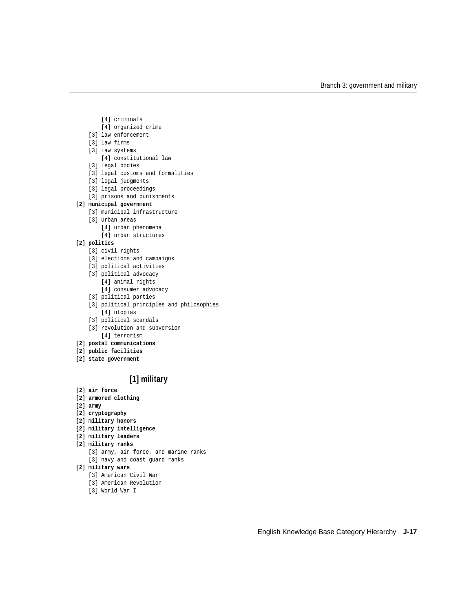- [4] criminals
- [4] organized crime
- [3] law enforcement
- [3] law firms
- [3] law systems
- [4] constitutional law
- [3] legal bodies
- [3] legal customs and formalities
- [3] legal judgments
- [3] legal proceedings
- [3] prisons and punishments

#### **[2] municipal government**

- [3] municipal infrastructure
- [3] urban areas
	- [4] urban phenomena
	- [4] urban structures

## **[2] politics**

- [3] civil rights
- [3] elections and campaigns
- [3] political activities
- [3] political advocacy
	- [4] animal rights
	- [4] consumer advocacy
- [3] political parties
- [3] political principles and philosophies [4] utopias
- [3] political scandals
- [3] revolution and subversion [4] terrorism
- **[2] postal communications**
- **[2] public facilities**
- **[2] state government**

# **[1] military**

- **[2] air force**
- **[2] armored clothing**
- **[2] army**
- **[2] cryptography**
- **[2] military honors**
- **[2] military intelligence**
- **[2] military leaders**
- **[2] military ranks**
	- [3] army, air force, and marine ranks
	- [3] navy and coast guard ranks

#### **[2] military wars**

- [3] American Civil War
- [3] American Revolution
- [3] World War I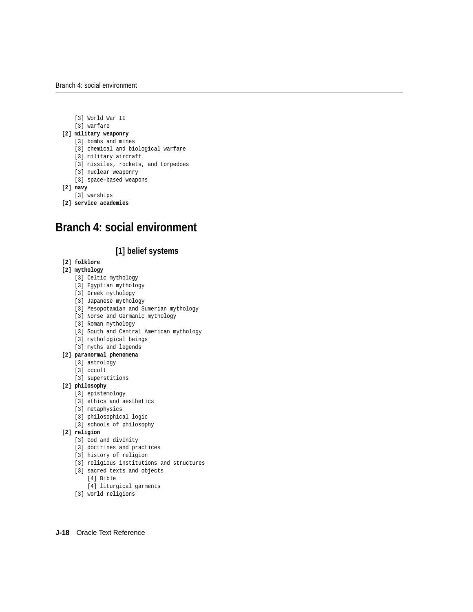- [3] World War II
- [3] warfare

## **[2] military weaponry**

- [3] bombs and mines
- [3] chemical and biological warfare
- [3] military aircraft
- [3] missiles, rockets, and torpedoes
- [3] nuclear weaponry
- [3] space-based weapons
- **[2] navy**
	- [3] warships
- **[2] service academies**

# <span id="page-17-0"></span>**Branch 4: social environment**

# **[1] belief systems**

## **[2] folklore**

## **[2] mythology**

- [3] Celtic mythology
- [3] Egyptian mythology
- [3] Greek mythology
- [3] Japanese mythology
- [3] Mesopotamian and Sumerian mythology
- [3] Norse and Germanic mythology
- [3] Roman mythology
- [3] South and Central American mythology
- [3] mythological beings
- [3] myths and legends

## **[2] paranormal phenomena**

- [3] astrology
- [3] occult
- [3] superstitions

## **[2] philosophy**

- [3] epistemology
- [3] ethics and aesthetics
- [3] metaphysics
- [3] philosophical logic
- [3] schools of philosophy

## **[2] religion**

- [3] God and divinity
- [3] doctrines and practices
- [3] history of religion
- [3] religious institutions and structures
- [3] sacred texts and objects
	- [4] Bible
	- [4] liturgical garments
- [3] world religions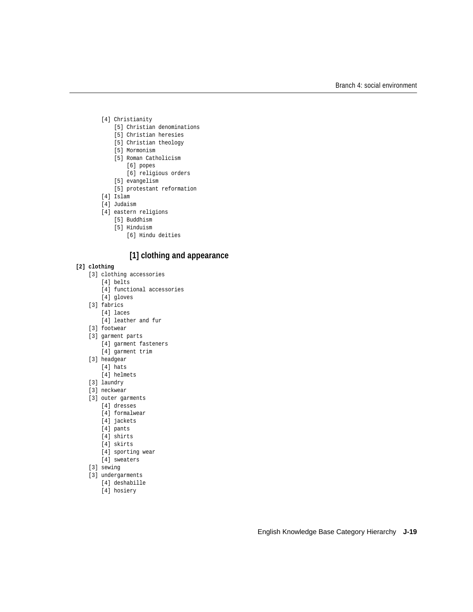- [4] Christianity
	- [5] Christian denominations
	- [5] Christian heresies
	- [5] Christian theology
	- [5] Mormonism
	- [5] Roman Catholicism
		- [6] popes
		- [6] religious orders
	- [5] evangelism
	- [5] protestant reformation
- [4] Islam
- [4] Judaism
- [4] eastern religions
	- [5] Buddhism
	- [5] Hinduism
		- [6] Hindu deities

# **[1] clothing and appearance**

## **[2] clothing**

- [3] clothing accessories
	- [4] belts
	- [4] functional accessories
	- [4] gloves
- [3] fabrics
	- [4] laces
	- [4] leather and fur
- [3] footwear
- [3] garment parts
	- [4] garment fasteners
	- [4] garment trim
- [3] headgear
	- [4] hats
	- [4] helmets
- [3] laundry
- [3] neckwear
- [3] outer garments
	- [4] dresses
	- [4] formalwear
	- [4] jackets
	- [4] pants
	- [4] shirts
	- [4] skirts
	- [4] sporting wear
	- [4] sweaters
- [3] sewing
- [3] undergarments
	- [4] deshabille
		- [4] hosiery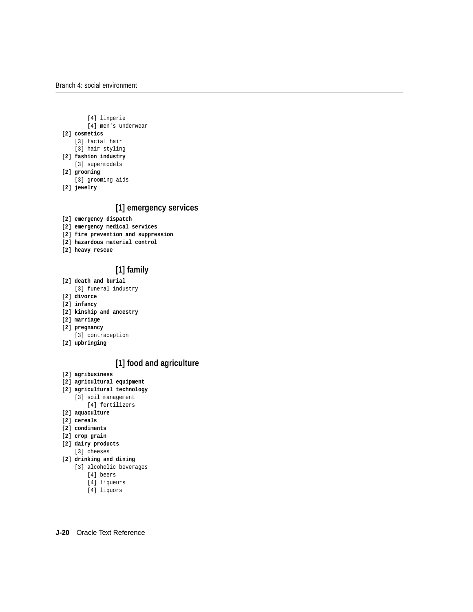- [4] lingerie
- [4] men's underwear

#### **[2] cosmetics**

- [3] facial hair
- [3] hair styling
- **[2] fashion industry**
	- [3] supermodels
- **[2] grooming**
	- [3] grooming aids
- **[2] jewelry**

# **[1] emergency services**

- **[2] emergency dispatch**
- **[2] emergency medical services**
- **[2] fire prevention and suppression**
- **[2] hazardous material control**
- **[2] heavy rescue**

# **[1] family**

- **[2] death and burial**
	- [3] funeral industry
- **[2] divorce**
- **[2] infancy**
- **[2] kinship and ancestry**
- **[2] marriage**
- **[2] pregnancy**
- [3] contraception
- **[2] upbringing**

# **[1] food and agriculture**

- **[2] agribusiness**
- **[2] agricultural equipment**
- **[2] agricultural technology**
	- [3] soil management
		- [4] fertilizers
- **[2] aquaculture**
- **[2] cereals**
- **[2] condiments**
- **[2] crop grain**
- **[2] dairy products** [3] cheeses
- **[2] drinking and dining**
	- [3] alcoholic beverages
		- [4] beers
		- [4] liqueurs
		- [4] liquors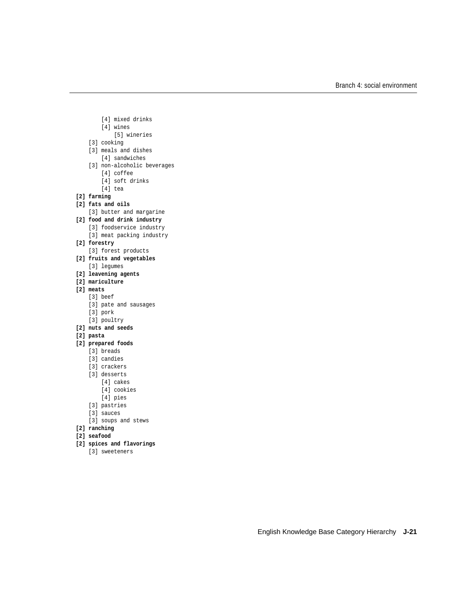- [4] mixed drinks
- [4] wines
	- [5] wineries
- [3] cooking
- [3] meals and dishes
	- [4] sandwiches
- [3] non-alcoholic beverages
	- [4] coffee
	- [4] soft drinks
	- [4] tea
- **[2] farming**
- **[2] fats and oils**
	- [3] butter and margarine
- **[2] food and drink industry**
	- [3] foodservice industry
	- [3] meat packing industry
- **[2] forestry**
	- [3] forest products
- **[2] fruits and vegetables** [3] legumes
- **[2] leavening agents**
- **[2] mariculture**
- **[2] meats**
	- [3] beef
		- [3] pate and sausages
		- [3] pork
		- [3] poultry
- **[2] nuts and seeds**
- **[2] pasta**
- **[2] prepared foods**
	- [3] breads
	- [3] candies
	- [3] crackers
	- [3] desserts
		- [4] cakes
			- [4] cookies
			- [4] pies
	- [3] pastries
	- [3] sauces
	- [3] soups and stews
- **[2] ranching**
- **[2] seafood**
- **[2] spices and flavorings**
	- [3] sweeteners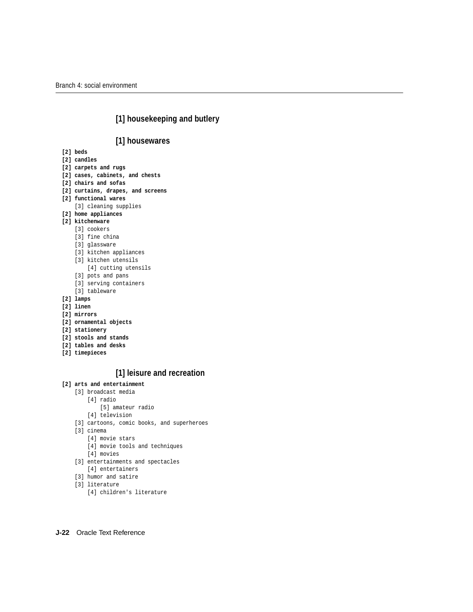# **[1] housekeeping and butlery**

# **[1] housewares**

- **[2] beds**
- **[2] candles**
- **[2] carpets and rugs**
- **[2] cases, cabinets, and chests**
- **[2] chairs and sofas**
- **[2] curtains, drapes, and screens**
- **[2] functional wares**
	- [3] cleaning supplies
- **[2] home appliances**
- **[2] kitchenware**
	- [3] cookers
	- [3] fine china
	- [3] glassware
	- [3] kitchen appliances
	- [3] kitchen utensils
		- [4] cutting utensils
	- [3] pots and pans
	- [3] serving containers
	- [3] tableware
- **[2] lamps**
- **[2] linen**
- **[2] mirrors**
- **[2] ornamental objects**
- **[2] stationery**
- **[2] stools and stands**
- **[2] tables and desks**
- **[2] timepieces**

# **[1] leisure and recreation**

## **[2] arts and entertainment**

- [3] broadcast media
	- [4] radio
		- [5] amateur radio
	- [4] television
- [3] cartoons, comic books, and superheroes
- [3] cinema
	- [4] movie stars
	- [4] movie tools and techniques
	- [4] movies
- [3] entertainments and spectacles
	- [4] entertainers
- [3] humor and satire
- [3] literature
	- [4] children's literature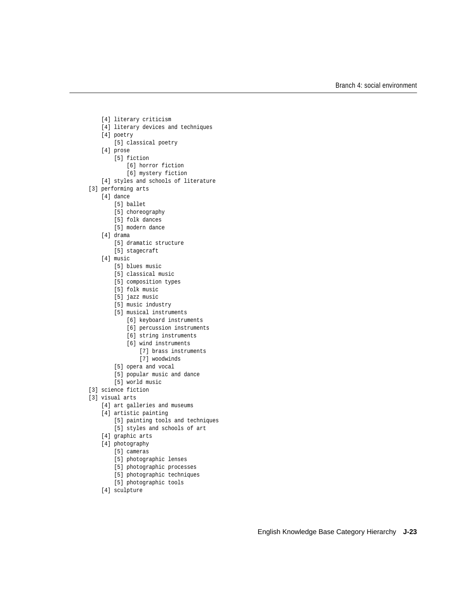[4] literary criticism [4] literary devices and techniques [4] poetry [5] classical poetry [4] prose [5] fiction [6] horror fiction [6] mystery fiction [4] styles and schools of literature [3] performing arts [4] dance [5] ballet [5] choreography [5] folk dances [5] modern dance [4] drama [5] dramatic structure [5] stagecraft [4] music [5] blues music [5] classical music [5] composition types [5] folk music [5] jazz music [5] music industry [5] musical instruments [6] keyboard instruments [6] percussion instruments [6] string instruments [6] wind instruments

- - [7] brass instruments
- [7] woodwinds
- [5] opera and vocal
- [5] popular music and dance
- [5] world music
- [3] science fiction
- [3] visual arts
	- [4] art galleries and museums
	- [4] artistic painting
		- [5] painting tools and techniques
		- [5] styles and schools of art
	- [4] graphic arts
	- [4] photography
		- [5] cameras
		- [5] photographic lenses
		- [5] photographic processes
		- [5] photographic techniques
		- [5] photographic tools
	- [4] sculpture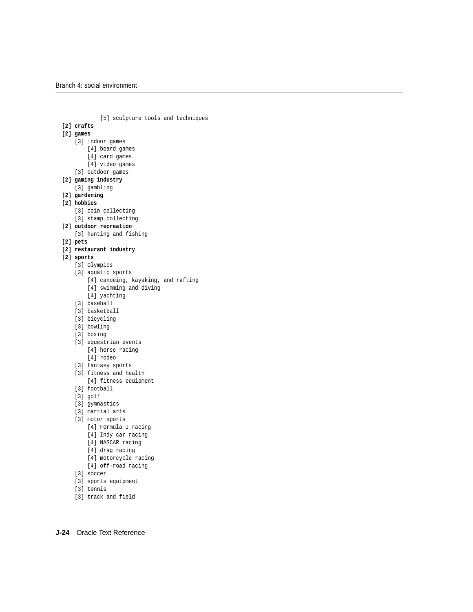```
 [5] sculpture tools and techniques
[2] crafts
[2] games
     [3] indoor games
         [4] board games
         [4] card games
         [4] video games
    [3] outdoor games
[2] gaming industry
     [3] gambling
[2] gardening
[2] hobbies
     [3] coin collecting
    [3] stamp collecting
[2] outdoor recreation
     [3] hunting and fishing
[2] pets
[2] restaurant industry
[2] sports
     [3] Olympics
     [3] aquatic sports
         [4] canoeing, kayaking, and rafting
         [4] swimming and diving
         [4] yachting
    [3] baseball
    [3] basketball
     [3] bicycling
     [3] bowling
     [3] boxing
    [3] equestrian events
         [4] horse racing
         [4] rodeo
    [3] fantasy sports
     [3] fitness and health
        [4] fitness equipment
     [3] football
     [3] golf
     [3] gymnastics
     [3] martial arts
     [3] motor sports
         [4] Formula I racing
         [4] Indy car racing
         [4] NASCAR racing
         [4] drag racing
        [4] motorcycle racing
        [4] off-road racing
    [3] soccer
     [3] sports equipment
     [3] tennis
```
[3] track and field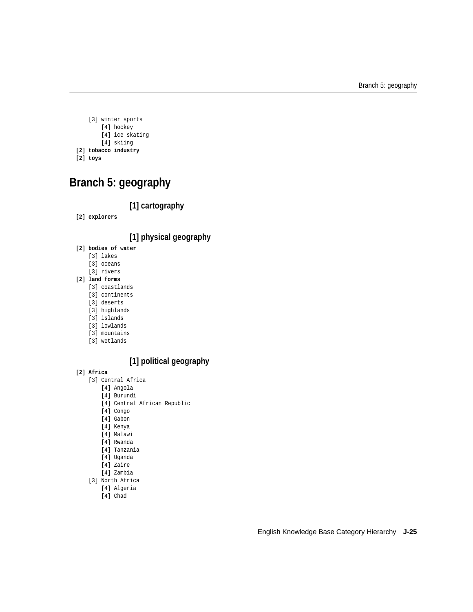```
 [3] winter sports
        [4] hockey
         [4] ice skating
         [4] skiing
[2] tobacco industry
```

```
[2] toys
```
# <span id="page-24-0"></span>**Branch 5: geography**

# **[1] cartography**

**[2] explorers**

# **[1] physical geography**

- **[2] bodies of water**
	- [3] lakes
	- [3] oceans
	- [3] rivers

## **[2] land forms**

- [3] coastlands
- [3] continents
- [3] deserts
- [3] highlands
- [3] islands
- [3] lowlands
- [3] mountains
- [3] wetlands

# **[1] political geography**

## **[2] Africa**

- [3] Central Africa
	- [4] Angola
	- [4] Burundi
	- [4] Central African Republic
	- [4] Congo
	- [4] Gabon
	- [4] Kenya
	- [4] Malawi
	- [4] Rwanda
	- [4] Tanzania
	- [4] Uganda
	- [4] Zaire
	- [4] Zambia
- [3] North Africa
	- [4] Algeria
		- [4] Chad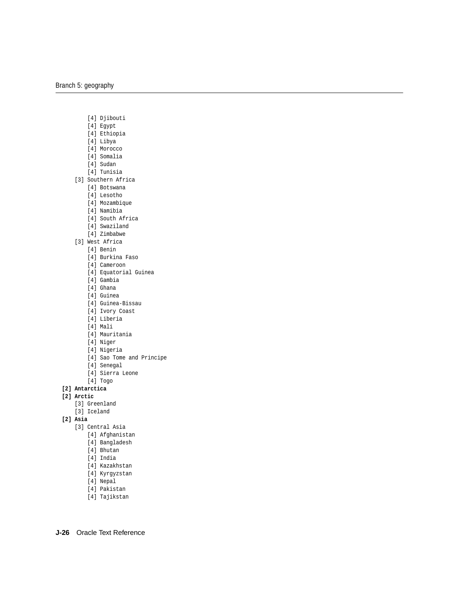- [4] Djibouti
- [4] Egypt
- [4] Ethiopia
- [4] Libya
- [4] Morocco
- [4] Somalia
- [4] Sudan
- [4] Tunisia
- [3] Southern Africa
	- [4] Botswana
	- [4] Lesotho
	- [4] Mozambique
	- [4] Namibia
	- [4] South Africa
	- [4] Swaziland
	- [4] Zimbabwe
- [3] West Africa
	- [4] Benin
	- [4] Burkina Faso
	- [4] Cameroon
	- [4] Equatorial Guinea
	- [4] Gambia
	- [4] Ghana
	- [4] Guinea
	- [4] Guinea-Bissau
	- [4] Ivory Coast
	- [4] Liberia
	- [4] Mali
	- [4] Mauritania
	- [4] Niger
	- [4] Nigeria
	- [4] Sao Tome and Principe
	- [4] Senegal
	- [4] Sierra Leone
	- [4] Togo
- **[2] Antarctica**

## **[2] Arctic**

- [3] Greenland
- [3] Iceland
- **[2] Asia**
	- [3] Central Asia
		- [4] Afghanistan
		- [4] Bangladesh
		- [4] Bhutan
		- [4] India
		- [4] Kazakhstan
		- [4] Kyrgyzstan
		- [4] Nepal
		- [4] Pakistan
		- [4] Tajikstan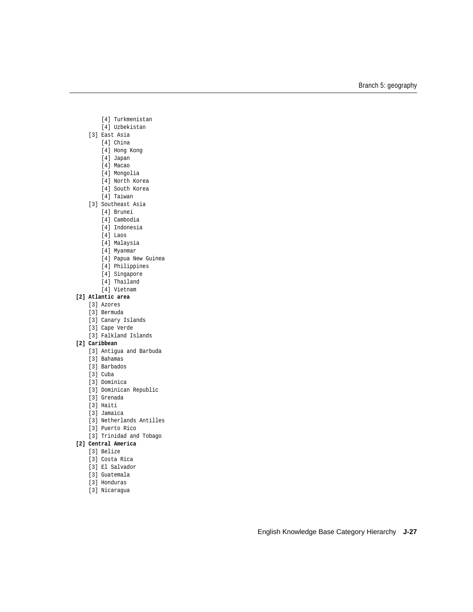- [4] Turkmenistan
- [4] Uzbekistan
- [3] East Asia
	- [4] China
	- [4] Hong Kong
	- [4] Japan
	- [4] Macao
	- [4] Mongolia
	- [4] North Korea
	- [4] South Korea
	- [4] Taiwan
- [3] Southeast Asia
	- [4] Brunei
	- [4] Cambodia
	- [4] Indonesia
	- [4] Laos
	- [4] Malaysia
	- [4] Myanmar
	- [4] Papua New Guinea
	- [4] Philippines
	- [4] Singapore
	- [4] Thailand
	- [4] Vietnam

## **[2] Atlantic area**

- [3] Azores
- [3] Bermuda
- [3] Canary Islands
- [3] Cape Verde
- [3] Falkland Islands

#### **[2] Caribbean**

- [3] Antigua and Barbuda
- [3] Bahamas
- [3] Barbados
- [3] Cuba
- [3] Dominica
- [3] Dominican Republic
- [3] Grenada
- [3] Haiti
- [3] Jamaica
- [3] Netherlands Antilles
- [3] Puerto Rico
- [3] Trinidad and Tobago

## **[2] Central America**

- [3] Belize
- [3] Costa Rica
- [3] El Salvador
- [3] Guatemala
- [3] Honduras
- [3] Nicaragua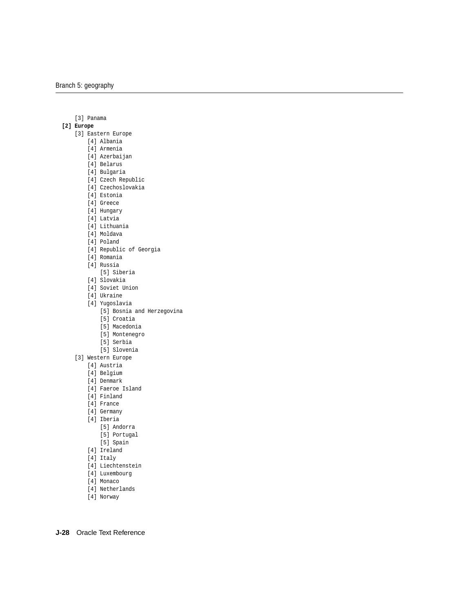[3] Panama

## **[2] Europe**

- [3] Eastern Europe
	- [4] Albania
	- [4] Armenia
	- [4] Azerbaijan
	- [4] Belarus
	- [4] Bulgaria
	- [4] Czech Republic
	- [4] Czechoslovakia
	- [4] Estonia
	- [4] Greece
	- [4] Hungary
	- [4] Latvia
	- [4] Lithuania
	- [4] Moldava
	- [4] Poland
	- [4] Republic of Georgia
	- [4] Romania
	- [4] Russia
	- [5] Siberia
	- [4] Slovakia
	- [4] Soviet Union
	- [4] Ukraine
	- [4] Yugoslavia
		- [5] Bosnia and Herzegovina
		- [5] Croatia
		- [5] Macedonia
		- [5] Montenegro
		- [5] Serbia
		- [5] Slovenia
	- [3] Western Europe
		- [4] Austria
		- [4] Belgium
		- [4] Denmark
		- [4] Faeroe Island
		- [4] Finland
		- [4] France
		- [4] Germany
		- [4] Iberia
			- [5] Andorra
			- [5] Portugal
			- [5] Spain
		- [4] Ireland
		- [4] Italy
		- [4] Liechtenstein
		- [4] Luxembourg
		- [4] Monaco
		- [4] Netherlands
		- [4] Norway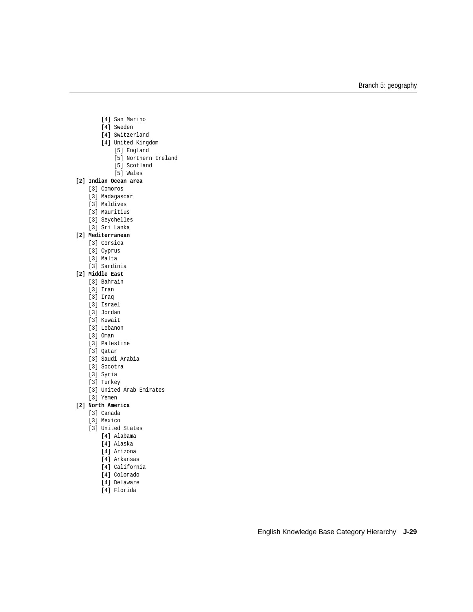- [4] San Marino
- [4] Sweden
- [4] Switzerland
- [4] United Kingdom
	- [5] England
	- [5] Northern Ireland
	- [5] Scotland
	- [5] Wales

## **[2] Indian Ocean area**

- [3] Comoros
- [3] Madagascar
- [3] Maldives
- [3] Mauritius
- [3] Seychelles
- [3] Sri Lanka

## **[2] Mediterranean**

- [3] Corsica
- [3] Cyprus
- [3] Malta
- [3] Sardinia

## **[2] Middle East**

- [3] Bahrain
- [3] Iran
- [3] Iraq
- [3] Israel
- [3] Jordan
- [3] Kuwait
- [3] Lebanon
- [3] Oman
- [3] Palestine
- [3] Qatar
- [3] Saudi Arabia
- [3] Socotra
- [3] Syria
- [3] Turkey
- [3] United Arab Emirates
- [3] Yemen

#### **[2] North America**

- [3] Canada
- [3] Mexico
- [3] United States
	- [4] Alabama
	- [4] Alaska
	- [4] Arizona
	- [4] Arkansas
	- [4] California
	- [4] Colorado
	- [4] Delaware
	- [4] Florida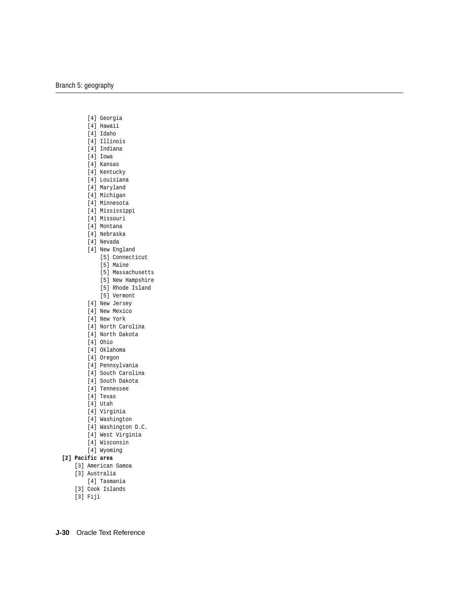- [4] Georgia
- [4] Hawaii
- [4] Idaho
- [4] Illinois
- [4] Indiana
- [4] Iowa
- [4] Kansas
- [4] Kentucky
- [4] Louisiana
- [4] Maryland
- [4] Michigan
- [4] Minnesota
- [4] Mississippi
- [4] Missouri
- [4] Montana
- [4] Nebraska
- [4] Nevada
- [4] New England
	- [5] Connecticut
	- [5] Maine
	- [5] Massachusetts
	- [5] New Hampshire
	- [5] Rhode Island
	- [5] Vermont
- [4] New Jersey
- [4] New Mexico
- [4] New York
- [4] North Carolina
- [4] North Dakota
- [4] Ohio
- [4] Oklahoma
- [4] Oregon
- [4] Pennsylvania
- [4] South Carolina
- [4] South Dakota
- [4] Tennessee
- [4] Texas
- [4] Utah
- [4] Virginia
- [4] Washington
- [4] Washington D.C.
- [4] West Virginia
- [4] Wisconsin
- [4] Wyoming
- **[2] Pacific area**
	- [3] American Samoa
	- [3] Australia
		- [4] Tasmania
	- [3] Cook Islands
	- [3] Fiji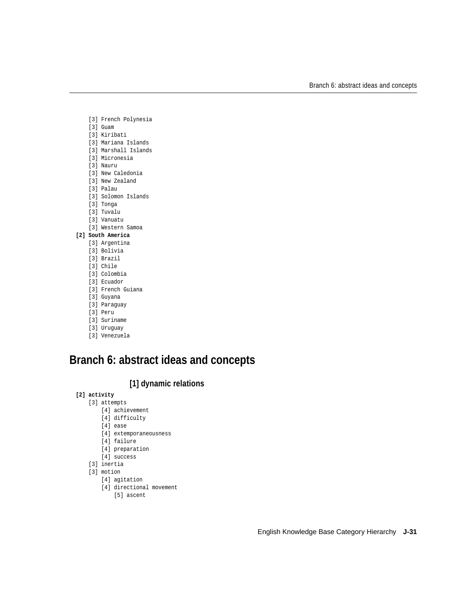- [3] French Polynesia
- [3] Guam
- [3] Kiribati
- [3] Mariana Islands
- [3] Marshall Islands
- [3] Micronesia
- [3] Nauru
- [3] New Caledonia
- [3] New Zealand
- [3] Palau
- [3] Solomon Islands
- [3] Tonga
- [3] Tuvalu
- [3] Vanuatu
- [3] Western Samoa

## **[2] South America**

- [3] Argentina
- [3] Bolivia
- [3] Brazil
- [3] Chile
- [3] Colombia
- [3] Ecuador
- [3] French Guiana
- [3] Guyana
- [3] Paraguay
- [3] Peru
- [3] Suriname
- [3] Uruguay
- [3] Venezuela

# <span id="page-30-0"></span>**Branch 6: abstract ideas and concepts**

# **[1] dynamic relations**

- **[2] activity**
	- [3] attempts
		- [4] achievement
		- [4] difficulty
		- [4] ease
		- [4] extemporaneousness
		- [4] failure
		- [4] preparation
		- [4] success
	- [3] inertia
	- [3] motion
		- [4] agitation
		- [4] directional movement
			- [5] ascent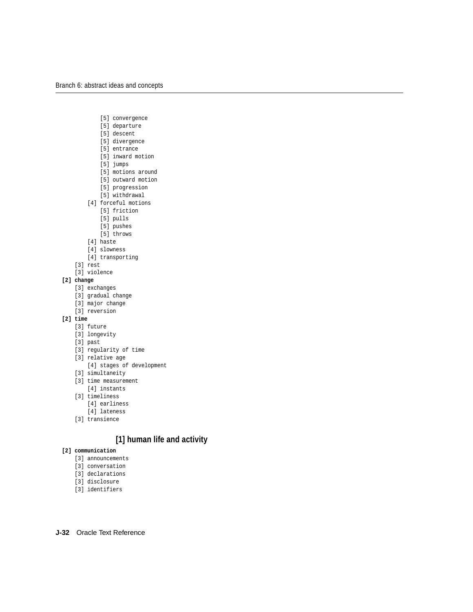- [5] convergence
- [5] departure
- [5] descent
- [5] divergence
- [5] entrance
- [5] inward motion
- [5] jumps
- [5] motions around
- [5] outward motion
- [5] progression
- [5] withdrawal
- [4] forceful motions
	- [5] friction
	- [5] pulls
	- [5] pushes
	- [5] throws
- [4] haste
- [4] slowness
- [4] transporting
- [3] rest [3] violence

# **[2] change**

- [3] exchanges
- [3] gradual change
- [3] major change
- [3] reversion

## **[2] time**

- [3] future
- [3] longevity
- [3] past
- [3] regularity of time
- [3] relative age
	- [4] stages of development
- [3] simultaneity
- [3] time measurement
	- [4] instants
- [3] timeliness
	- [4] earliness
	- [4] lateness
- [3] transience

# **[1] human life and activity**

## **[2] communication**

- [3] announcements
- [3] conversation
- [3] declarations
- [3] disclosure
- [3] identifiers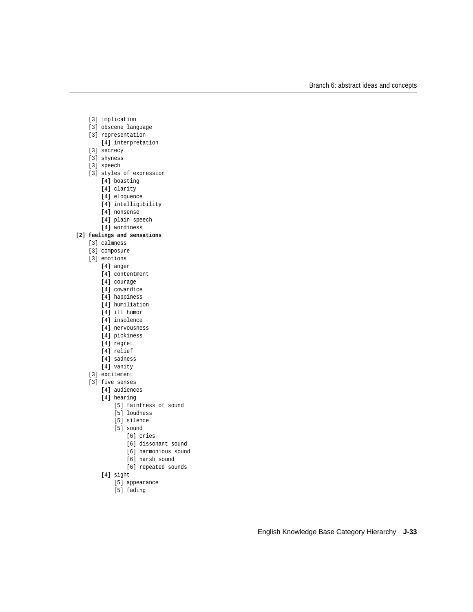- [3] implication
- [3] obscene language
- [3] representation
	- [4] interpretation
- [3] secrecy
- [3] shyness
- [3] speech
- [3] styles of expression
	- [4] boasting
	- [4] clarity
	- [4] eloquence
	- [4] intelligibility
	- [4] nonsense
	- [4] plain speech
	- [4] wordiness

## **[2] feelings and sensations**

- [3] calmness
- [3] composure
- [3] emotions
	- [4] anger
	- [4] contentment
	- [4] courage
	- [4] cowardice
	- [4] happiness
	- [4] humiliation
	- [4] ill humor
	- [4] insolence
	- [4] nervousness
	- [4] pickiness
	- [4] regret
	- [4] relief
	- [4] sadness
	- [4] vanity
- [3] excitement
- [3] five senses
	- [4] audiences
	- [4] hearing
		- [5] faintness of sound
		- [5] loudness
		- [5] silence
		- [5] sound
			- [6] cries
			- [6] dissonant sound
			- [6] harmonious sound
			- [6] harsh sound
			- [6] repeated sounds
	- [4] sight
		- [5] appearance
		- [5] fading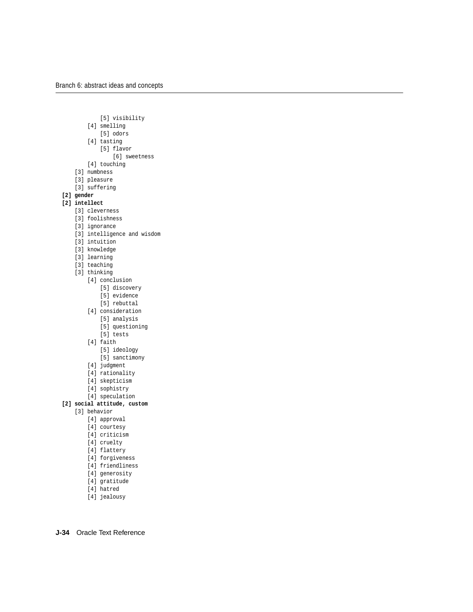[5] visibility

- [4] smelling
	- [5] odors
- [4] tasting
	- [5] flavor
		- [6] sweetness
- [4] touching
- [3] numbness
- [3] pleasure
- [3] suffering
- **[2] gender**

## **[2] intellect**

- [3] cleverness
- [3] foolishness
- [3] ignorance
- [3] intelligence and wisdom
- [3] intuition
- [3] knowledge
- [3] learning
- [3] teaching
- [3] thinking
	- [4] conclusion
		- [5] discovery
		- [5] evidence
		- [5] rebuttal
	- [4] consideration
		- [5] analysis
		- [5] questioning
		- [5] tests
	- [4] faith
		- [5] ideology
		- [5] sanctimony
	- [4] judgment
	- [4] rationality
	- [4] skepticism
	- [4] sophistry
	- [4] speculation
- **[2] social attitude, custom**
	- [3] behavior
		- [4] approval
		- [4] courtesy
		- [4] criticism
		- [4] cruelty
		- [4] flattery
		- [4] forgiveness
		- [4] friendliness
		- [4] generosity
		- [4] gratitude
		- [4] hatred
		- [4] jealousy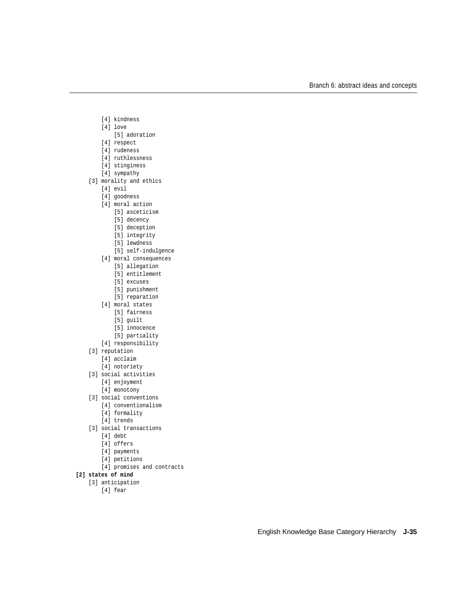- [4] kindness
- [4] love
	- [5] adoration
- [4] respect
- [4] rudeness
- [4] ruthlessness
- [4] stinginess
- [4] sympathy
- [3] morality and ethics
	- [4] evil
	- [4] goodness
	- [4] moral action
		- [5] asceticism
		- [5] decency
		- [5] deception
		- [5] integrity
		- [5] lewdness
		- [5] self-indulgence
	- [4] moral consequences
		- [5] allegation
		- [5] entitlement
		- [5] excuses
		- [5] punishment
		- [5] reparation
	- [4] moral states
		- [5] fairness
		- [5] guilt
		- [5] innocence
		- [5] partiality
	- [4] responsibility
- [3] reputation
	- [4] acclaim
	- [4] notoriety
- [3] social activities
	- [4] enjoyment
	- [4] monotony
- [3] social conventions
	- [4] conventionalism
		- [4] formality
		- [4] trends
- [3] social transactions
	- [4] debt
	- [4] offers
	- [4] payments
	- [4] petitions
	- [4] promises and contracts
- **[2] states of mind**
	- [3] anticipation
		- [4] fear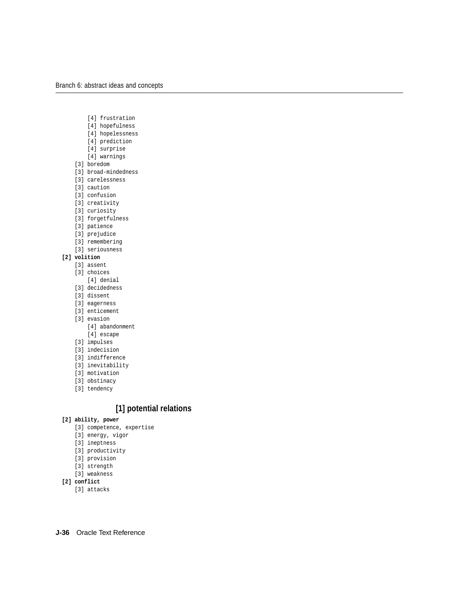- [4] frustration
- [4] hopefulness
- [4] hopelessness
- [4] prediction
- [4] surprise
- [4] warnings
- [3] boredom
- [3] broad-mindedness
- [3] carelessness
- [3] caution
- [3] confusion
- [3] creativity
- [3] curiosity
- [3] forgetfulness
- [3] patience
- [3] prejudice
- [3] remembering
- [3] seriousness

## **[2] volition**

- [3] assent
- [3] choices
	- [4] denial
- [3] decidedness
- [3] dissent
- [3] eagerness
- [3] enticement
- [3] evasion
	- [4] abandonment
	- [4] escape
- [3] impulses
- [3] indecision
- [3] indifference
- [3] inevitability
- [3] motivation
- [3] obstinacy
- [3] tendency

# **[1] potential relations**

## **[2] ability, power**

- [3] competence, expertise
- [3] energy, vigor
- [3] ineptness
- [3] productivity
- [3] provision
- [3] strength
- [3] weakness
- **[2] conflict**
	- [3] attacks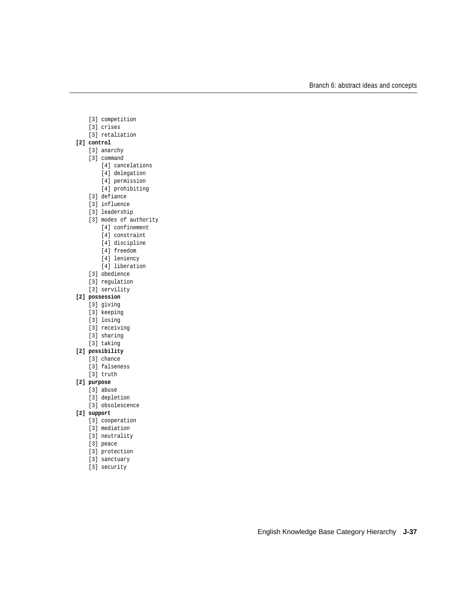- [3] competition
- [3] crises
- [3] retaliation
- **[2] control**
	- [3] anarchy
	- [3] command
		- [4] cancelations
		- [4] delegation
		- [4] permission
		- [4] prohibiting
	- [3] defiance
	- [3] influence
	- [3] leadership
	- [3] modes of authority
		- [4] confinement
		- [4] constraint
		- [4] discipline
		- [4] freedom
		- [4] leniency
		- [4] liberation
	- [3] obedience
	- [3] regulation
	- [3] servility

#### **[2] possession**

- [3] giving
- [3] keeping
- [3] losing
- [3] receiving
- [3] sharing
- [3] taking

#### **[2] possibility**

- [3] chance
- [3] falseness
- [3] truth

#### **[2] purpose**

- [3] abuse
- [3] depletion
- [3] obsolescence
- **[2] support**
	- [3] cooperation
	- [3] mediation
	- [3] neutrality
	- [3] peace
	- [3] protection
	- [3] sanctuary
	- [3] security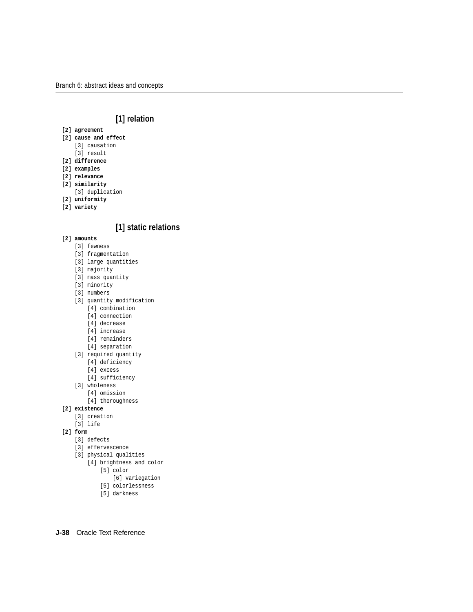# **[1] relation**

- **[2] agreement**
- **[2] cause and effect**
	- [3] causation
	- [3] result
- **[2] difference**
- **[2] examples**
- **[2] relevance**
- **[2] similarity**
	- [3] duplication
- **[2] uniformity**
- **[2] variety**

# **[1] static relations**

- **[2] amounts**
	- [3] fewness
	- [3] fragmentation
	- [3] large quantities
	- [3] majority
	- [3] mass quantity
	- [3] minority
	- [3] numbers
	- [3] quantity modification
		- [4] combination
		- [4] connection
		- [4] decrease
		- [4] increase
		- [4] remainders
		- [4] separation
	- [3] required quantity
		- [4] deficiency
		- [4] excess
		- [4] sufficiency
	- [3] wholeness
		- [4] omission
		- [4] thoroughness

## **[2] existence**

- [3] creation
- [3] life

## **[2] form**

- [3] defects
- [3] effervescence
- [3] physical qualities
	- [4] brightness and color
		- [5] color
			- [6] variegation
		- [5] colorlessness
		- [5] darkness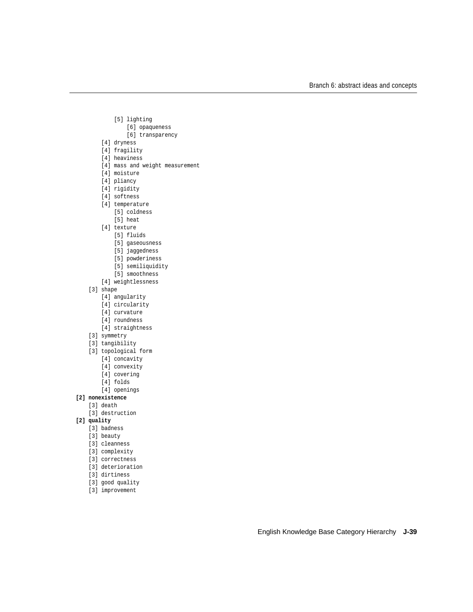- [5] lighting
	- [6] opaqueness
	- [6] transparency
- [4] dryness
- [4] fragility
- [4] heaviness
- [4] mass and weight measurement
- [4] moisture
- [4] pliancy
- [4] rigidity
- [4] softness
- [4] temperature
	- [5] coldness
	- [5] heat
- [4] texture
	- [5] fluids
	- [5] gaseousness
	- [5] jaggedness
	- [5] powderiness
	- [5] semiliquidity
	- [5] smoothness
- [4] weightlessness
- [3] shape
	- [4] angularity
	- [4] circularity
	- [4] curvature
	- [4] roundness
	- [4] straightness
- [3] symmetry
- [3] tangibility
- [3] topological form
	- [4] concavity
	- [4] convexity
	- [4] covering
	- [4] folds
	- [4] openings
- **[2] nonexistence**
	- [3] death
	- [3] destruction
- **[2] quality**
	- [3] badness
	- [3] beauty
	- [3] cleanness
	- [3] complexity
	- [3] correctness
	- [3] deterioration
	- [3] dirtiness
	- [3] good quality
	- [3] improvement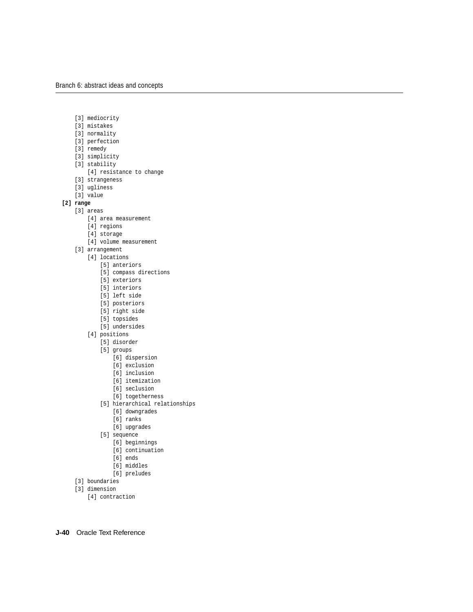- [3] mediocrity
- [3] mistakes
- [3] normality
- [3] perfection
- [3] remedy
- [3] simplicity
- [3] stability
	- [4] resistance to change
- [3] strangeness
- [3] ugliness
- [3] value
- **[2] range**
	- [3] areas
		- [4] area measurement
		- [4] regions
		- [4] storage
		- [4] volume measurement
		- [3] arrangement
			- [4] locations
				- [5] anteriors
				- [5] compass directions
				- [5] exteriors
				- [5] interiors
				- [5] left side
				- [5] posteriors
				- [5] right side
				- [5] topsides
				- [5] undersides
			- [4] positions
				- [5] disorder
				- [5] groups
					- [6] dispersion
					- [6] exclusion
					- [6] inclusion
					- [6] itemization
					- [6] seclusion
					- [6] togetherness
				- [5] hierarchical relationships
					- [6] downgrades
					- [6] ranks
					- [6] upgrades
				- [5] sequence
					- [6] beginnings
					- [6] continuation
					- [6] ends
					- [6] middles
					- [6] preludes
		- [3] boundaries
		- [3] dimension
			- [4] contraction